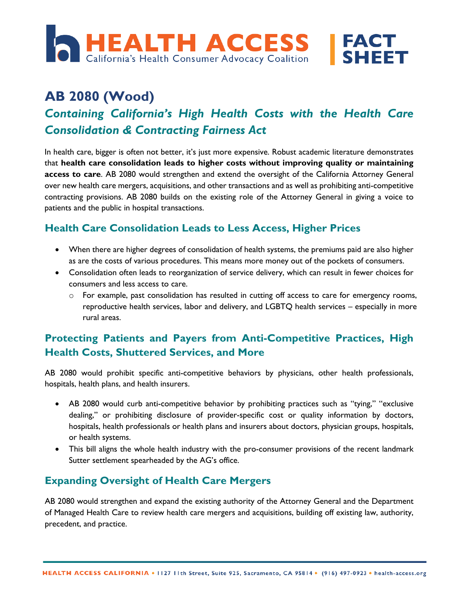

# **AB 2080 (Wood)** *Containing California's High Health Costs with the Health Care Consolidation & Contracting Fairness Act*

In health care, bigger is often not better, it's just more expensive. Robust academic literature demonstrates that **health care consolidation leads to higher costs without improving quality or maintaining access to care**. AB 2080 would strengthen and extend the oversight of the California Attorney General over new health care mergers, acquisitions, and other transactions and as well as prohibiting anti-competitive contracting provisions. AB 2080 builds on the existing role of the Attorney General in giving a voice to patients and the public in hospital transactions.

#### **Health Care Consolidation Leads to Less Access, Higher Prices**

- When there are higher degrees of consolidation of health systems, the premiums paid are also higher as are the costs of various procedures. This means more money out of the pockets of consumers.
- Consolidation often leads to reorganization of service delivery, which can result in fewer choices for consumers and less access to care.
	- $\circ$  For example, past consolidation has resulted in cutting off access to care for emergency rooms, reproductive health services, labor and delivery, and LGBTQ health services – especially in more rural areas.

### **Protecting Patients and Payers from Anti-Competitive Practices, High Health Costs, Shuttered Services, and More**

AB 2080 would prohibit specific anti-competitive behaviors by physicians, other health professionals, hospitals, health plans, and health insurers.

- AB 2080 would curb anti-competitive behavior by prohibiting practices such as "tying," "exclusive dealing," or prohibiting disclosure of provider-specific cost or quality information by doctors, hospitals, health professionals or health plans and insurers about doctors, physician groups, hospitals, or health systems.
- This bill aligns the whole health industry with the pro-consumer provisions of the recent landmark Sutter settlement spearheaded by the AG's office.

#### **Expanding Oversight of Health Care Mergers**

AB 2080 would strengthen and expand the existing authority of the Attorney General and the Department of Managed Health Care to review health care mergers and acquisitions, building off existing law, authority, precedent, and practice.